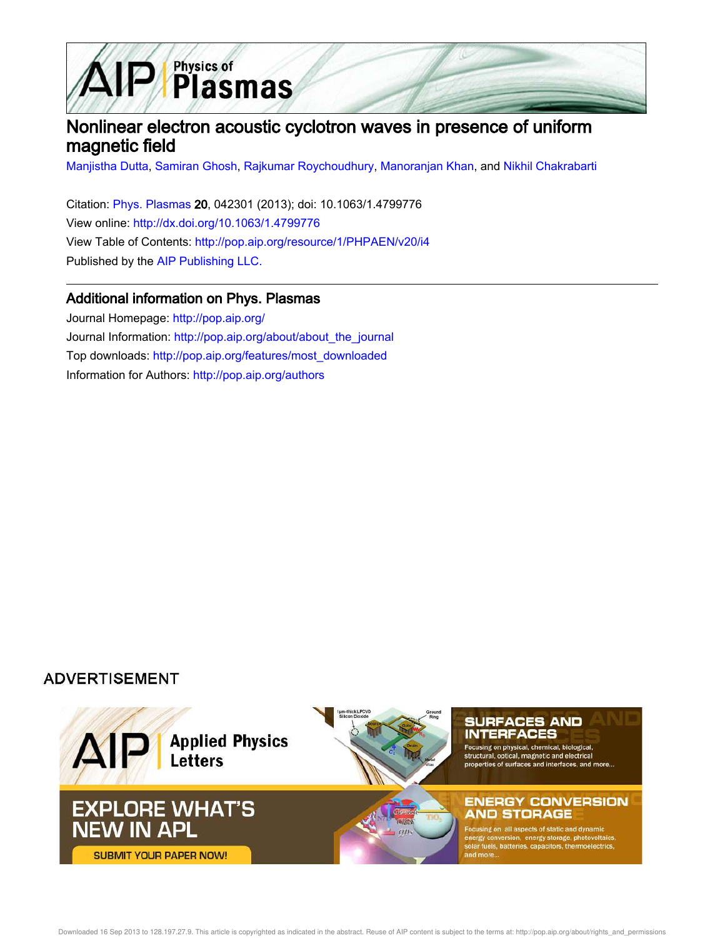

# Nonlinear electron acoustic cyclotron waves in presence of uniform magnetic field

Manjistha Dutta, Samiran Ghosh, Rajkumar Roychoudhury, Manoranjan Khan, and Nikhil Chakrabarti

Citation: Phys. Plasmas 20, 042301 (2013); doi: 10.1063/1.4799776 View online: http://dx.doi.org/10.1063/1.4799776 View Table of Contents: http://pop.aip.org/resource/1/PHPAEN/v20/i4 Published by the AIP Publishing LLC.

### Additional information on Phys. Plasmas

Journal Homepage: http://pop.aip.org/ Journal Information: http://pop.aip.org/about/about\_the\_journal Top downloads: http://pop.aip.org/features/most\_downloaded Information for Authors: http://pop.aip.org/authors

### **ADVERTISEMENT**

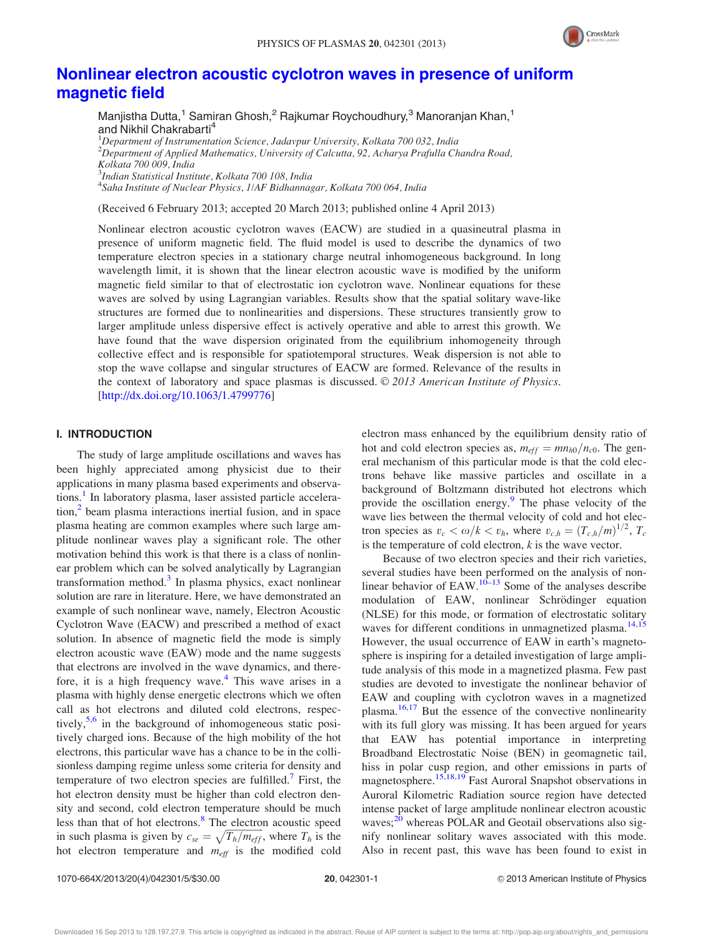

## Nonlinear electron acoustic cyclotron waves in presence of uniform magnetic field

Manjistha Dutta,<sup>1</sup> Samiran Ghosh,<sup>2</sup> Rajkumar Roychoudhury,<sup>3</sup> Manoranjan Khan,<sup>1</sup> and Nikhil Chakrabarti<sup>4</sup>

Department of Instrumentation Science, Jadavpur University, Kolkata 700 032, India Department of Applied Mathematics, University of Calcutta, 92, Acharya Prafulla Chandra Road, Kolkata 700 009, India Indian Statistical Institute, Kolkata 700 108, India Saha Institute of Nuclear Physics, 1/AF Bidhannagar, Kolkata 700 064, India

(Received 6 February 2013; accepted 20 March 2013; published online 4 April 2013)

Nonlinear electron acoustic cyclotron waves (EACW) are studied in a quasineutral plasma in presence of uniform magnetic field. The fluid model is used to describe the dynamics of two temperature electron species in a stationary charge neutral inhomogeneous background. In long wavelength limit, it is shown that the linear electron acoustic wave is modified by the uniform magnetic field similar to that of electrostatic ion cyclotron wave. Nonlinear equations for these waves are solved by using Lagrangian variables. Results show that the spatial solitary wave-like structures are formed due to nonlinearities and dispersions. These structures transiently grow to larger amplitude unless dispersive effect is actively operative and able to arrest this growth. We have found that the wave dispersion originated from the equilibrium inhomogeneity through collective effect and is responsible for spatiotemporal structures. Weak dispersion is not able to stop the wave collapse and singular structures of EACW are formed. Relevance of the results in the context of laboratory and space plasmas is discussed.  $\odot$  2013 American Institute of Physics. [http://dx.doi.org/10.1063/1.4799776]

### I. INTRODUCTION

The study of large amplitude oscillations and waves has been highly appreciated among physicist due to their applications in many plasma based experiments and observations.<sup>1</sup> In laboratory plasma, laser assisted particle acceleration,<sup>2</sup> beam plasma interactions inertial fusion, and in space plasma heating are common examples where such large amplitude nonlinear waves play a significant role. The other motivation behind this work is that there is a class of nonlinear problem which can be solved analytically by Lagrangian transformation method.<sup>3</sup> In plasma physics, exact nonlinear solution are rare in literature. Here, we have demonstrated an example of such nonlinear wave, namely, Electron Acoustic Cyclotron Wave (EACW) and prescribed a method of exact solution. In absence of magnetic field the mode is simply electron acoustic wave (EAW) mode and the name suggests that electrons are involved in the wave dynamics, and therefore, it is a high frequency wave.<sup>4</sup> This wave arises in a plasma with highly dense energetic electrons which we often call as hot electrons and diluted cold electrons, respectively,<sup>5,6</sup> in the background of inhomogeneous static positively charged ions. Because of the high mobility of the hot electrons, this particular wave has a chance to be in the collisionless damping regime unless some criteria for density and temperature of two electron species are fulfilled.<sup>7</sup> First, the hot electron density must be higher than cold electron density and second, cold electron temperature should be much less than that of hot electrons.<sup>8</sup> The electron acoustic speed in such plasma is given by  $c_{se} = \sqrt{T_h/m_{eff}}$ , where  $T_h$  is the hot electron temperature and  $m_{\text{eff}}$  is the modified cold

electron mass enhanced by the equilibrium density ratio of hot and cold electron species as,  $m_{eff} = m n_{h0}/n_{c0}$ . The general mechanism of this particular mode is that the cold electrons behave like massive particles and oscillate in a background of Boltzmann distributed hot electrons which provide the oscillation energy.<sup>9</sup> The phase velocity of the wave lies between the thermal velocity of cold and hot electron species as  $v_c < \omega/k < v_h$ , where  $v_{c,h} = (T_{c,h}/m)^{1/2}$ ,  $T_c$ is the temperature of cold electron,  $k$  is the wave vector.

Because of two electron species and their rich varieties, several studies have been performed on the analysis of nonlinear behavior of  $EAW$ .<sup>10–13</sup> Some of the analyses describe modulation of EAW, nonlinear Schrödinger equation (NLSE) for this mode, or formation of electrostatic solitary waves for different conditions in unmagnetized plasma.<sup>14,15</sup> However, the usual occurrence of EAW in earth's magnetosphere is inspiring for a detailed investigation of large amplitude analysis of this mode in a magnetized plasma. Few past studies are devoted to investigate the nonlinear behavior of EAW and coupling with cyclotron waves in a magnetized plasma.<sup>16,17</sup> But the essence of the convective nonlinearity with its full glory was missing. It has been argued for years that EAW has potential importance in interpreting Broadband Electrostatic Noise (BEN) in geomagnetic tail, hiss in polar cusp region, and other emissions in parts of magnetosphere.<sup>15,18,19</sup> Fast Auroral Snapshot observations in Auroral Kilometric Radiation source region have detected intense packet of large amplitude nonlinear electron acoustic waves; $^{20}$  whereas POLAR and Geotail observations also signify nonlinear solitary waves associated with this mode. Also in recent past, this wave has been found to exist in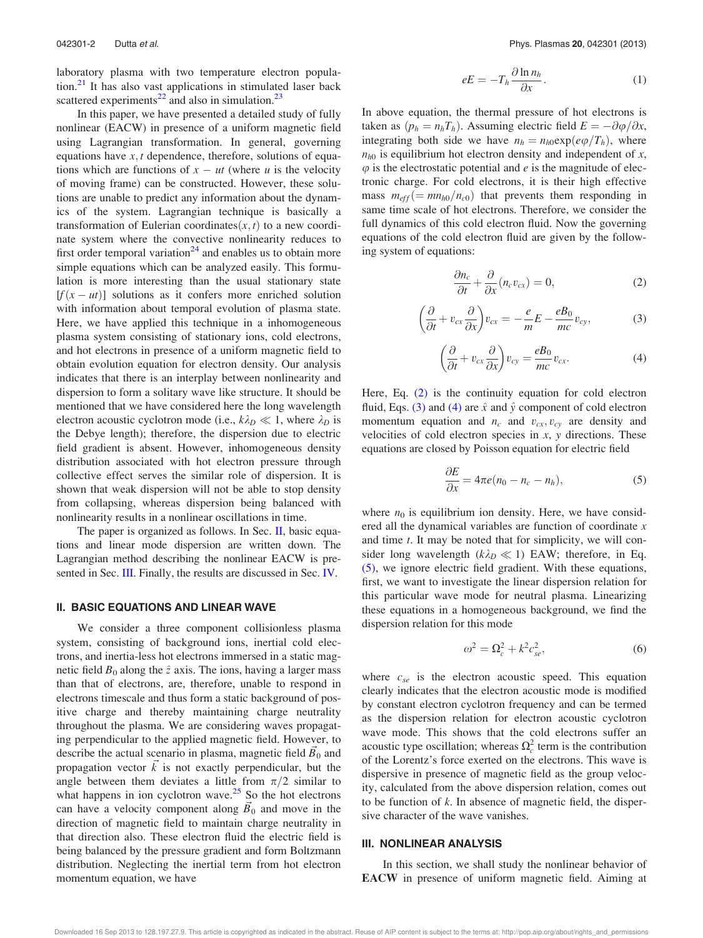laboratory plasma with two temperature electron population. $2<sup>1</sup>$  It has also vast applications in stimulated laser back scattered experiments<sup>22</sup> and also in simulation.<sup>23</sup>

In this paper, we have presented a detailed study of fully nonlinear (EACW) in presence of a uniform magnetic field using Lagrangian transformation. In general, governing equations have  $x, t$  dependence, therefore, solutions of equations which are functions of  $x - ut$  (where u is the velocity of moving frame) can be constructed. However, these solutions are unable to predict any information about the dynamics of the system. Lagrangian technique is basically a transformation of Eulerian coordinates $(x, t)$  to a new coordinate system where the convective nonlinearity reduces to first order temporal variation<sup>24</sup> and enables us to obtain more simple equations which can be analyzed easily. This formulation is more interesting than the usual stationary state  $[f(x - ut)]$  solutions as it confers more enriched solution with information about temporal evolution of plasma state. Here, we have applied this technique in a inhomogeneous plasma system consisting of stationary ions, cold electrons, and hot electrons in presence of a uniform magnetic field to obtain evolution equation for electron density. Our analysis indicates that there is an interplay between nonlinearity and dispersion to form a solitary wave like structure. It should be mentioned that we have considered here the long wavelength electron acoustic cyclotron mode (i.e.,  $k\lambda_D \ll 1$ , where  $\lambda_D$  is the Debye length); therefore, the dispersion due to electric field gradient is absent. However, inhomogeneous density distribution associated with hot electron pressure through collective effect serves the similar role of dispersion. It is shown that weak dispersion will not be able to stop density from collapsing, whereas dispersion being balanced with nonlinearity results in a nonlinear oscillations in time.

The paper is organized as follows. In Sec. II, basic equations and linear mode dispersion are written down. The Lagrangian method describing the nonlinear EACW is presented in Sec. **III**. Finally, the results are discussed in Sec. **IV**.

### II. BASIC EQUATIONS AND LINEAR WAVE

We consider a three component collisionless plasma system, consisting of background ions, inertial cold electrons, and inertia-less hot electrons immersed in a static magnetic field  $B_0$  along the  $\hat{z}$  axis. The ions, having a larger mass than that of electrons, are, therefore, unable to respond in electrons timescale and thus form a static background of positive charge and thereby maintaining charge neutrality throughout the plasma. We are considering waves propagating perpendicular to the applied magnetic field. However, to describe the actual scenario in plasma, magnetic field  $\overline{B}_0$  and propagation vector  $\vec{k}$  is not exactly perpendicular, but the angle between them deviates a little from  $\pi/2$  similar to what happens in ion cyclotron wave. $25$  So the hot electrons can have a velocity component along  $\overline{B}_0$  and move in the direction of magnetic field to maintain charge neutrality in that direction also. These electron fluid the electric field is being balanced by the pressure gradient and form Boltzmann distribution. Neglecting the inertial term from hot electron momentum equation, we have

$$
eE = -T_h \frac{\partial \ln n_h}{\partial x}.
$$
 (1)

In above equation, the thermal pressure of hot electrons is taken as  $(p_h = n_hT_h)$ . Assuming electric field  $E = -\partial \varphi / \partial x$ , integrating both side we have  $n_h = n_{h0} \exp(e\varphi/T_h)$ , where  $n_{h0}$  is equilibrium hot electron density and independent of x,  $\varphi$  is the electrostatic potential and e is the magnitude of electronic charge. For cold electrons, it is their high effective mass  $m_{eff} (=mn_{h0}/n_{c0})$  that prevents them responding in same time scale of hot electrons. Therefore, we consider the full dynamics of this cold electron fluid. Now the governing equations of the cold electron fluid are given by the following system of equations:

$$
\frac{\partial n_c}{\partial t} + \frac{\partial}{\partial x}(n_c v_{cx}) = 0, \tag{2}
$$

$$
\left(\frac{\partial}{\partial t} + v_{cx}\frac{\partial}{\partial x}\right)v_{cx} = -\frac{e}{m}E - \frac{eB_0}{mc}v_{cy},\tag{3}
$$

$$
\left(\frac{\partial}{\partial t} + v_{cx}\frac{\partial}{\partial x}\right)v_{cy} = \frac{eB_0}{mc}v_{cx}.
$$
\n(4)

Here, Eq. (2) is the continuity equation for cold electron fluid, Eqs. (3) and (4) are  $\hat{x}$  and  $\hat{y}$  component of cold electron momentum equation and  $n_c$  and  $v_{cx}$ ,  $v_{cy}$  are density and velocities of cold electron species in  $x$ ,  $y$  directions. These equations are closed by Poisson equation for electric field

$$
\frac{\partial E}{\partial x} = 4\pi e(n_0 - n_c - n_h),\tag{5}
$$

where  $n_0$  is equilibrium ion density. Here, we have considered all the dynamical variables are function of coordinate x and time t. It may be noted that for simplicity, we will consider long wavelength ( $k\lambda_D \ll 1$ ) EAW; therefore, in Eq. (5), we ignore electric field gradient. With these equations, first, we want to investigate the linear dispersion relation for this particular wave mode for neutral plasma. Linearizing these equations in a homogeneous background, we find the dispersion relation for this mode

$$
\omega^2 = \Omega_c^2 + k^2 c_{se}^2,\tag{6}
$$

where  $c_{se}$  is the electron acoustic speed. This equation clearly indicates that the electron acoustic mode is modified by constant electron cyclotron frequency and can be termed as the dispersion relation for electron acoustic cyclotron wave mode. This shows that the cold electrons suffer an acoustic type oscillation; whereas  $\Omega_c^2$  term is the contribution of the Lorentz's force exerted on the electrons. This wave is dispersive in presence of magnetic field as the group velocity, calculated from the above dispersion relation, comes out to be function of  $k$ . In absence of magnetic field, the dispersive character of the wave vanishes.

#### III. NONLINEAR ANALYSIS

In this section, we shall study the nonlinear behavior of EACW in presence of uniform magnetic field. Aiming at

Downloaded 16 Sep 2013 to 128.197.27.9. This article is copyrighted as indicated in the abstract. Reuse of AIP content is subject to the terms at: http://pop.aip.org/about/rights\_and\_permissions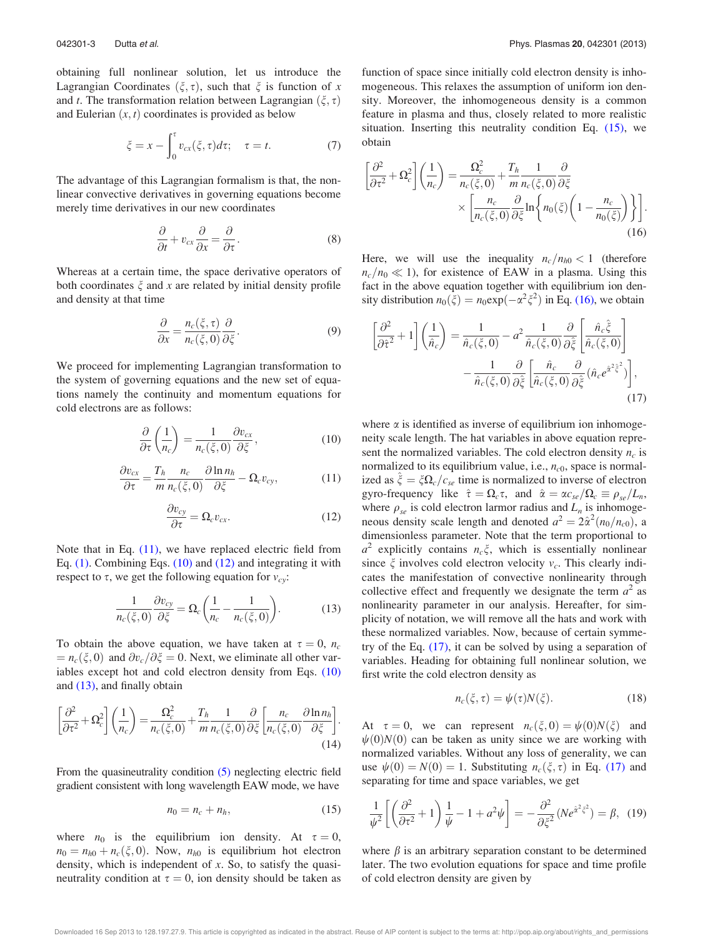obtaining full nonlinear solution, let us introduce the Lagrangian Coordinates  $(\xi, \tau)$ , such that  $\xi$  is function of x and t. The transformation relation between Lagrangian  $(\xi, \tau)$ and Eulerian  $(x, t)$  coordinates is provided as below

$$
\xi = x - \int_0^{\tau} v_{cx}(\xi, \tau) d\tau; \quad \tau = t. \tag{7}
$$

The advantage of this Lagrangian formalism is that, the nonlinear convective derivatives in governing equations become merely time derivatives in our new coordinates

$$
\frac{\partial}{\partial t} + v_{cx} \frac{\partial}{\partial x} = \frac{\partial}{\partial \tau}.
$$
 (8)

Whereas at a certain time, the space derivative operators of both coordinates  $\xi$  and x are related by initial density profile and density at that time

$$
\frac{\partial}{\partial x} = \frac{n_c(\xi, \tau)}{n_c(\xi, 0)} \frac{\partial}{\partial \xi}.
$$
\n(9)

We proceed for implementing Lagrangian transformation to the system of governing equations and the new set of equations namely the continuity and momentum equations for cold electrons are as follows:

$$
\frac{\partial}{\partial \tau} \left( \frac{1}{n_c} \right) = \frac{1}{n_c(\xi, 0)} \frac{\partial v_{cx}}{\partial \xi},\tag{10}
$$

$$
\frac{\partial v_{cx}}{\partial \tau} = \frac{T_h}{m} \frac{n_c}{n_c(\xi, 0)} \frac{\partial \ln n_h}{\partial \xi} - \Omega_c v_{cy},\tag{11}
$$

$$
\frac{\partial v_{cy}}{\partial \tau} = \Omega_c v_{cx}.
$$
 (12)

Note that in Eq. (11), we have replaced electric field from Eq. (1). Combining Eqs. (10) and (12) and integrating it with respect to  $\tau$ , we get the following equation for  $v_{cy}$ :

$$
\frac{1}{n_c(\xi,0)}\frac{\partial v_{cy}}{\partial \xi} = \Omega_c \left(\frac{1}{n_c} - \frac{1}{n_c(\xi,0)}\right). \tag{13}
$$

To obtain the above equation, we have taken at  $\tau = 0$ ,  $n_c$  $n_c(\xi, 0)$  and  $\partial v_c/\partial \xi = 0$ . Next, we eliminate all other variables except hot and cold electron density from Eqs. (10) and (13), and finally obtain

$$
\left[\frac{\partial^2}{\partial \tau^2} + \Omega_c^2\right] \left(\frac{1}{n_c}\right) = \frac{\Omega_c^2}{n_c(\xi, 0)} + \frac{T_h}{m} \frac{1}{n_c(\xi, 0)} \frac{\partial}{\partial \xi} \left[\frac{n_c}{n_c(\xi, 0)} \frac{\partial \ln n_h}{\partial \xi}\right].
$$
\n(14)

From the quasineutrality condition (5) neglecting electric field gradient consistent with long wavelength EAW mode, we have

$$
n_0 = n_c + n_h,\tag{15}
$$

where  $n_0$  is the equilibrium ion density. At  $\tau = 0$ ,  $n_0 = n_{h0} + n_c(\xi, 0)$ . Now,  $n_{h0}$  is equilibrium hot electron density, which is independent of  $x$ . So, to satisfy the quasineutrality condition at  $\tau = 0$ , ion density should be taken as function of space since initially cold electron density is inhomogeneous. This relaxes the assumption of uniform ion density. Moreover, the inhomogeneous density is a common feature in plasma and thus, closely related to more realistic situation. Inserting this neutrality condition Eq. (15), we obtain

$$
\left[\frac{\partial^2}{\partial \tau^2} + \Omega_c^2\right] \left(\frac{1}{n_c}\right) = \frac{\Omega_c^2}{n_c(\xi, 0)} + \frac{T_h}{m} \frac{1}{n_c(\xi, 0)} \frac{\partial}{\partial \xi}
$$

$$
\times \left[\frac{n_c}{n_c(\xi, 0)} \frac{\partial}{\partial \xi} \ln\left\{n_0(\xi) \left(1 - \frac{n_c}{n_0(\xi)}\right)\right\}\right].
$$
(16)

Here, we will use the inequality  $n_c/n_{h0} < 1$  (therefore  $n_c/n_0 \ll 1$ ), for existence of EAW in a plasma. Using this fact in the above equation together with equilibrium ion density distribution  $n_0(\xi) = n_0 \exp(-\alpha^2 \xi^2)$  in Eq. (16), we obtain

$$
\left[\frac{\partial^2}{\partial \hat{\tau}^2} + 1\right] \left(\frac{1}{\hat{n}_c}\right) = \frac{1}{\hat{n}_c(\xi, 0)} - a^2 \frac{1}{\hat{n}_c(\xi, 0)} \frac{\partial}{\partial \hat{\xi}} \left[\frac{\hat{n}_c \hat{\xi}}{\hat{n}_c(\xi, 0)}\right] - \frac{1}{\hat{n}_c(\xi, 0)} \frac{\partial}{\partial \hat{\xi}} \left[\frac{\hat{n}_c}{\hat{n}_c(\xi, 0)} \frac{\partial}{\partial \hat{\xi}} (\hat{n}_c e^{\hat{\alpha}^2 \hat{\xi}^2})\right],
$$
\n(17)

where  $\alpha$  is identified as inverse of equilibrium ion inhomogeneity scale length. The hat variables in above equation represent the normalized variables. The cold electron density  $n_c$  is normalized to its equilibrium value, i.e.,  $n_{c0}$ , space is normalized as  $\zeta = \zeta \Omega_c/c_{se}$  time is normalized to inverse of electron gyro-frequency like  $\hat{\tau} = \Omega_c \tau$ , and  $\hat{\alpha} = \alpha c_{se}/\Omega_c \equiv \rho_{se}/L_n$ , where  $\rho_{se}$  is cold electron larmor radius and  $L_n$  is inhomogeneous density scale length and denoted  $a^2 = 2\hat{\alpha}^2(n_0/n_{c0})$ , a dimensionless parameter. Note that the term proportional to  $a^2$  explicitly contains  $n_c\xi$ , which is essentially nonlinear since  $\xi$  involves cold electron velocity  $v_c$ . This clearly indicates the manifestation of convective nonlinearity through collective effect and frequently we designate the term  $a^2$  as nonlinearity parameter in our analysis. Hereafter, for simplicity of notation, we will remove all the hats and work with these normalized variables. Now, because of certain symmetry of the Eq. (17), it can be solved by using a separation of variables. Heading for obtaining full nonlinear solution, we first write the cold electron density as

$$
n_c(\xi, \tau) = \psi(\tau) N(\xi). \tag{18}
$$

At  $\tau = 0$ , we can represent  $n_c(\xi, 0) = \psi(0)N(\xi)$  and  $\psi(0)N(0)$  can be taken as unity since we are working with normalized variables. Without any loss of generality, we can use  $\psi(0) = N(0) = 1$ . Substituting  $n_c(\xi, \tau)$  in Eq. (17) and separating for time and space variables, we get

$$
\frac{1}{\psi^2} \left[ \left( \frac{\partial^2}{\partial \tau^2} + 1 \right) \frac{1}{\psi} - 1 + a^2 \psi \right] = -\frac{\partial^2}{\partial \xi^2} \left( N e^{\hat{\alpha}^2 \xi^2} \right) = \beta, \tag{19}
$$

where  $\beta$  is an arbitrary separation constant to be determined later. The two evolution equations for space and time profile of cold electron density are given by

Downloaded 16 Sep 2013 to 128.197.27.9. This article is copyrighted as indicated in the abstract. Reuse of AIP content is subject to the terms at: http://pop.aip.org/about/rights\_and\_permissions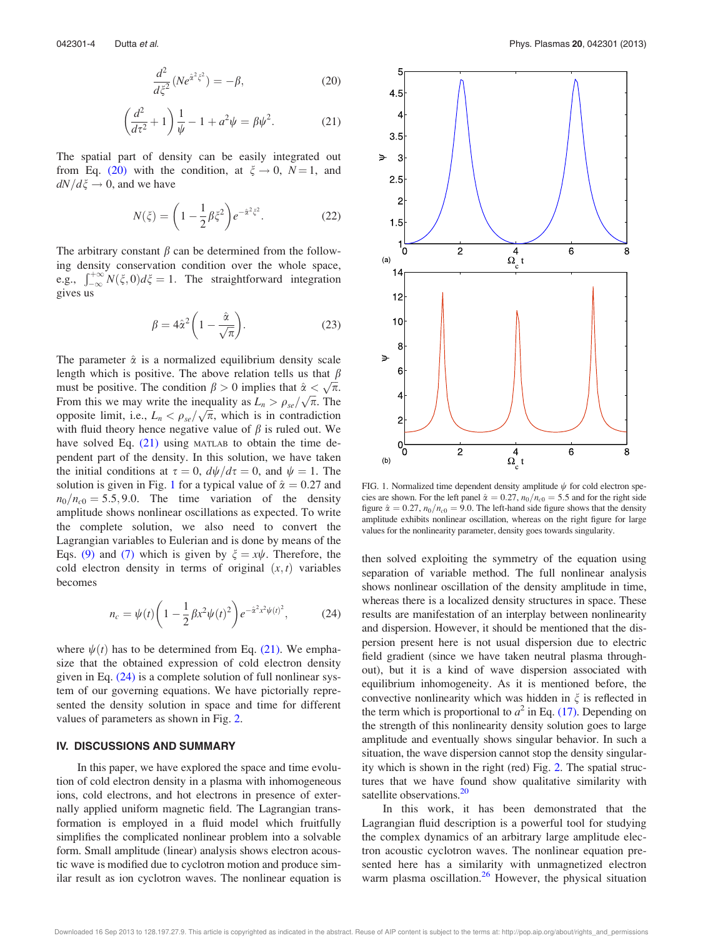$$
\frac{d^2}{d\xi^2}(Ne^{\hat{\alpha}^2\xi^2}) = -\beta,\tag{20}
$$

$$
\left(\frac{d^2}{d\tau^2} + 1\right)\frac{1}{\psi} - 1 + a^2\psi = \beta\psi^2.
$$
 (21)

The spatial part of density can be easily integrated out from Eq. (20) with the condition, at  $\xi \rightarrow 0$ ,  $N = 1$ , and  $dN/d\xi \rightarrow 0$ , and we have

$$
N(\xi) = \left(1 - \frac{1}{2}\beta \xi^2\right) e^{-\hat{\alpha}^2 \xi^2}.
$$
 (22)

The arbitrary constant  $\beta$  can be determined from the following density conservation condition over the whole space, e.g.,  $\int_{-\infty}^{+\infty} N(\xi, 0) d\xi = 1$ . The straightforward integration gives us

$$
\beta = 4\hat{\alpha}^2 \left( 1 - \frac{\hat{\alpha}}{\sqrt{\pi}} \right). \tag{23}
$$

The parameter  $\hat{\alpha}$  is a normalized equilibrium density scale length which is positive. The above relation tells us that  $\beta$ must be positive. The condition  $\beta > 0$  implies that  $\hat{\alpha} < \sqrt{\pi}$ . From this we may write the inequality as  $L_n > \rho_{se}/\sqrt{\pi}$ . The opposite limit, i.e.,  $L_n < \rho_{se}/\sqrt{\pi}$ , which is in contradiction with fluid theory hence negative value of  $\beta$  is ruled out. We have solved Eq. (21) using MATLAB to obtain the time dependent part of the density. In this solution, we have taken the initial conditions at  $\tau = 0$ ,  $d\psi/d\tau = 0$ , and  $\psi = 1$ . The solution is given in Fig. 1 for a typical value of  $\hat{\alpha} = 0.27$  and  $n_0/n_{c0}=5.5, 9.0$ . The time variation of the density amplitude shows nonlinear oscillations as expected. To write the complete solution, we also need to convert the Lagrangian variables to Eulerian and is done by means of the Eqs. (9) and (7) which is given by  $\xi = x\psi$ . Therefore, the cold electron density in terms of original  $(x, t)$  variables becomes

$$
n_c = \psi(t) \left( 1 - \frac{1}{2} \beta x^2 \psi(t)^2 \right) e^{-\hat{\alpha}^2 x^2 \psi(t)^2}, \tag{24}
$$

where  $\psi(t)$  has to be determined from Eq. (21). We emphasize that the obtained expression of cold electron density given in Eq.  $(24)$  is a complete solution of full nonlinear system of our governing equations. We have pictorially represented the density solution in space and time for different values of parameters as shown in Fig. 2.

#### IV. DISCUSSIONS AND SUMMARY

In this paper, we have explored the space and time evolution of cold electron density in a plasma with inhomogeneous ions, cold electrons, and hot electrons in presence of externally applied uniform magnetic field. The Lagrangian transformation is employed in a fluid model which fruitfully simplifies the complicated nonlinear problem into a solvable form. Small amplitude (linear) analysis shows electron acoustic wave is modified due to cyclotron motion and produce similar result as ion cyclotron waves. The nonlinear equation is



FIG. 1. Normalized time dependent density amplitude  $\psi$  for cold electron species are shown. For the left panel  $\hat{\alpha} = 0.27$ ,  $n_0/n_{c0} = 5.5$  and for the right side figure  $\hat{\alpha} = 0.27$ ,  $n_0/n_{c0} = 9.0$ . The left-hand side figure shows that the density amplitude exhibits nonlinear oscillation, whereas on the right figure for large values for the nonlinearity parameter, density goes towards singularity.

then solved exploiting the symmetry of the equation using separation of variable method. The full nonlinear analysis shows nonlinear oscillation of the density amplitude in time, whereas there is a localized density structures in space. These results are manifestation of an interplay between nonlinearity and dispersion. However, it should be mentioned that the dispersion present here is not usual dispersion due to electric field gradient (since we have taken neutral plasma throughout), but it is a kind of wave dispersion associated with equilibrium inhomogeneity. As it is mentioned before, the convective nonlinearity which was hidden in  $\xi$  is reflected in the term which is proportional to  $a^2$  in Eq. (17). Depending on the strength of this nonlinearity density solution goes to large amplitude and eventually shows singular behavior. In such a situation, the wave dispersion cannot stop the density singularity which is shown in the right (red) Fig. 2. The spatial structures that we have found show qualitative similarity with satellite observations.<sup>20</sup>

In this work, it has been demonstrated that the Lagrangian fluid description is a powerful tool for studying the complex dynamics of an arbitrary large amplitude electron acoustic cyclotron waves. The nonlinear equation presented here has a similarity with unmagnetized electron warm plasma oscillation. $26$  However, the physical situation

Downloaded 16 Sep 2013 to 128.197.27.9. This article is copyrighted as indicated in the abstract. Reuse of AIP content is subject to the terms at: http://pop.aip.org/about/rights\_and\_permissions